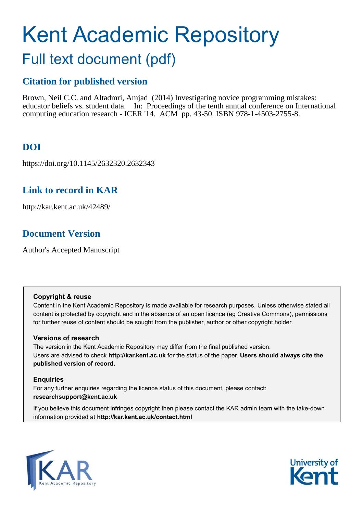# Kent Academic Repository Full text document (pdf)

## **Citation for published version**

Brown, Neil C.C. and Altadmri, Amjad (2014) Investigating novice programming mistakes: educator beliefs vs. student data. In: Proceedings of the tenth annual conference on International computing education research - ICER '14. ACM pp. 43-50. ISBN 978-1-4503-2755-8.

## **DOI**

https://doi.org/10.1145/2632320.2632343

## **Link to record in KAR**

http://kar.kent.ac.uk/42489/

## **Document Version**

Author's Accepted Manuscript

#### **Copyright & reuse**

Content in the Kent Academic Repository is made available for research purposes. Unless otherwise stated all content is protected by copyright and in the absence of an open licence (eg Creative Commons), permissions for further reuse of content should be sought from the publisher, author or other copyright holder.

#### <span id="page-0-0"></span>**Versions of research**

The version in the Kent Academic Repository may differ from the final published version. Users are advised to check **http://kar.kent.ac.uk** for the status of the paper. **Users should always cite the published version of record.**

#### **Enquiries**

For any further enquiries regarding the licence status of this document, please contact: **researchsupport@kent.ac.uk**

If you believe this document infringes copyright then please contact the KAR admin team with the take-down information provided at **http://kar.kent.ac.uk/contact.html**



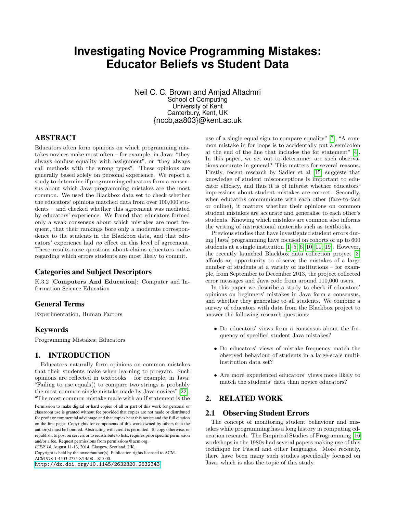## **Investigating Novice Programming Mistakes: Educator Beliefs vs Student Data**

Neil C. C. Brown and Amjad Altadmri School of Computing University of Kent Canterbury, Kent, UK {nccb,aa803}@kent.ac.uk

#### ABSTRACT

Educators often form opinions on which programming mistakes novices make most often – for example, in Java: "they always confuse equality with assignment", or "they always call methods with the wrong types". These opinions are generally based solely on personal experience. We report a study to determine if programming educators form a consensus about which Java programming mistakes are the most common. We used the Blackbox data set to check whether the educators' opinions matched data from over 100,000 students – and checked whether this agreement was mediated by educators' experience. We found that educators formed only a weak consensus about which mistakes are most frequent, that their rankings bore only a moderate correspondence to the students in the Blackbox data, and that educators' experience had *no* effect on this level of agreement. These results raise questions about claims educators make regarding which errors students are most likely to commit.

#### Categories and Subject Descriptors

K.3.2 [Computers And Education]: Computer and Information Science Education

#### General Terms

Experimentation, Human Factors

#### Keywords

Programming Mistakes; Educators

#### 1. INTRODUCTION

Educators naturally form opinions on common mistakes that their students make when learning to program. Such opinions are reflected in textbooks – for example, in Java: "Failing to use equals() to compare two strings is probably the most common single mistake made by Java novices"[\[22\]](#page-7-0), "The most common mistake made with an if statement is the

Copyright is held by the owner/author(s). Publication rights licensed to ACM.

<http://dx.doi.org/10.1145/2632320.2632343>.

use of a single equal sign to compare equality" [\[7\]](#page-7-1), "A common mistake in for loops is to accidentally put a semicolon at the end of the line that includes the for statement" [\[4\]](#page-7-2). In this paper, we set out to determine: are such observations accurate in general? This matters for several reasons. Firstly, recent research by Sadler et al [\[15\]](#page-7-3) suggests that knowledge of student misconceptions is important to educator efficacy, and thus it is of interest whether educators' impressions about student mistakes are correct. Secondly, when educators communicate with each other (face-to-face or online), it matters whether their opinions on common student mistakes are accurate and generalise to each other's students. Knowing which mistakes are common also informs the writing of instructional materials such as textbooks.

Previous studies that have investigated student errors during [Java] programming have focused on cohorts of up to 600 students at a single institution [\[1,](#page-7-4) [5,](#page-7-5) [6,](#page-7-6) [10,](#page-7-7) [11,](#page-7-8) [19\]](#page-7-9). However, the recently launched Blackbox data collection project [\[3\]](#page-7-10) affords an opportunity to observe the mistakes of a large number of students at a variety of institutions – for example, from September to December 2013, the project collected error messages and Java code from around 110,000 users.

In this paper we describe a study to check if educators' opinions on beginners' mistakes in Java form a consensus, and whether they generalise to all students. We combine a survey of educators with data from the Blackbox project to answer the following research questions:

- Do educators' views form a consensus about the frequency of specified student Java mistakes?
- Do educators' views of mistake frequency match the observed behaviour of students in a large-scale multiinstitution data set?
- Are more experienced educators' views more likely to match the students' data than novice educators?

#### 2. RELATED WORK

#### 2.1 Observing Student Errors

The concept of monitoring student behaviour and mistakes while programming has a long history in computing education research. The Empirical Studies of Programming [\[16\]](#page-7-11) workshops in the 1980s had several papers making use of this technique for Pascal and other languages. More recently, there have been many such studies specifically focused on Java, which is also the topic of this study.

Permission to make digital or hard copies of all or part of this work for personal or classroom use is granted without fee provided that copies are not made or distributed for profit or commercial advantage and that copies bear this notice and the full citation on the first page. Copyrights for components of this work owned by others than the author(s) must be honored. Abstracting with credit is permitted. To copy otherwise, or republish, to post on servers or to redistribute to lists, requires prior specific permission and/or a fee. Request permissions from permissions@acm.org.

<span id="page-1-0"></span>*ICER'14,* August 11-13, 2014, Glasgow, Scotland, UK.

ACM 978-1-4503-2755-8/14/08 ...\$15.00.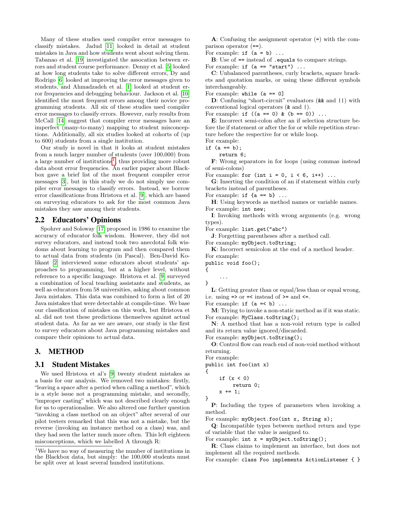Many of these studies used compiler error messages to classify mistakes. Jadud [\[11\]](#page-7-8) looked in detail at student mistakes in Java and how students went about solving them. Tabanao et al. [\[19\]](#page-7-9) investigated the assocation between errors and student course performance. Denny et al. [\[5\]](#page-7-5) looked at how long students take to solve different errors, Dy and Rodrigo [\[6\]](#page-7-6) looked at improving the error messages given to students, and Ahmadzadeh et al. [\[1\]](#page-7-4) looked at student error frequencies and debugging behaviour. Jackson et al. [\[10\]](#page-7-7) identified the most frequent errors among their novice programming students. All six of these studies used compiler error messages to classify errors. However, early results from McCall [\[14\]](#page-7-12) suggest that compiler error messages have an imperfect (many-to-many) mapping to student misconceptions. Additionally, all six studies looked at cohorts of (up to 600) students from a single institution.

Our study is novel in that it looks at student mistakes from a much larger number of students (over 100,000) from a large number of institutions<sup>[1](#page-1-0)</sup>, thus providing more robust data about error frequencies. An earlier paper about Blackbox gave a brief list of the most frequent compiler error messages [\[3\]](#page-7-10), but in this study we do not simply use compiler error messages to classify errors. Instead, we borrow error classifications from Hristova et al. [\[9\]](#page-7-13), which are based on surveying educators to ask for the most common Java mistakes they saw among their students.

#### 2.2 Educators' Opinions

<span id="page-2-5"></span>Spohrer and Soloway [\[17\]](#page-7-14) proposed in 1986 to examine the accuracy of educator folk wisdom. However, they did not survey educators, and instead took two anecdotal folk wisdoms about learning to program and then compared them to actual data from students (in Pascal). Ben-David Kolikant [\[2\]](#page-7-15) interviewed some educators about students' approaches to programming, but at a higher level, without reference to a specific language. Hristova et al. [\[9\]](#page-7-13) surveyed a combination of local teaching assistants and students, as well as educators from 58 universities, asking about common Java mistakes. This data was combined to form a list of 20 Java mistakes that were detectable at compile-time. We base our classification of mistakes on this work, but Hristova et al. did not test these predictions themselves against actual student data. As far as we are aware, our study is the first to survey educators about Java programming mistakes and compare their opinions to actual data.

#### 3. METHOD

#### 3.1 Student Mistakes

We used Hristova et al's [\[9\]](#page-7-13) twenty student mistakes as a basis for our analysis. We removed two mistakes: firstly, "leaving a space after a period when calling a method", which is a style issue not a programming mistake, and secondly, "improper casting" which was not described clearly enough for us to operationalise. We also altered one further question "invoking a class method on an object" after several of our pilot testers remarked that this was not a mistake, but the reverse (invoking an instance method on a class) was, and they had seen the latter much more often. This left eighteen misconceptions, which we labelled A through R:

A: Confusing the assignment operator (=) with the comparison operator (==).

For example: if  $(a = b)$ ...

B: Use of == instead of .equals to compare strings.

For example: if  $(a == "start")$  ...

C: Unbalanced parentheses, curly brackets, square brackets and quotation marks, or using these different symbols interchangeably.

For example:  $while (a == 0]$ 

D: Confusing "short-circuit" evaluators (&& and ||) with conventional logical operators (& and |).

For example: if  $((a == 0) & (b == 0))$  ...

E: Incorrect semi-colon after an if selection structure before the if statement or after the for or while repetition structure before the respective for or while loop.

For example:

if  $(a == b)$ ;

return 6;

F: Wrong separators in for loops (using commas instead of semi-colons)

For example: for (int  $i = 0$ ,  $i \lt 6$ ,  $i++)$  ...

G: Inserting the condition of an if statement within curly brackets instead of parentheses.

For example: if  $\{a == b\}$ ...

H: Using keywords as method names or variable names. For example: int new;

I: Invoking methods with wrong arguments (e.g. wrong types).

<span id="page-2-0"></span>For example: list.get("abc")

J: Forgetting parentheses after a method call.

For example: myObject.toString;

K: Incorrect semicolon at the end of a method header. For example:

public void foo();

{

```
}
```
...

L: Getting greater than or equal/less than or equal wrong, i.e. using  $\Rightarrow$  or  $\Rightarrow$  instead of  $\ge$  and  $\le$ .

For example: if  $(a \le b)$ ...

M: Trying to invoke a non-static method as if it was static. For example: MyClass.toString();

N: A method that has a non-void return type is called and its return value ignored/discarded.

For example: myObject.toString();

O: Control flow can reach end of non-void method without returning.

For example:

public int foo(int x) {

if  $(x < 0)$ return 0;  $x \leftarrow +1$ ;

<span id="page-2-1"></span>}

P: Including the types of parameters when invoking a method.

<span id="page-2-2"></span>For example: myObject.foo(int x, String s);

Q: Incompatible types between method return and type of variable that the value is assigned to.

For example:  $int x = myObject.toString()$ ;

<span id="page-2-3"></span>R: Class claims to implement an interface, but does not implement all the required methods.

<span id="page-2-4"></span>For example: class Foo implements ActionListener { }

 $^{\rm 1}{\rm We}$  have no way of measuring the number of institutions in the Blackbox data, but simply: the 100,000 students must be split over at least several hundred institutions.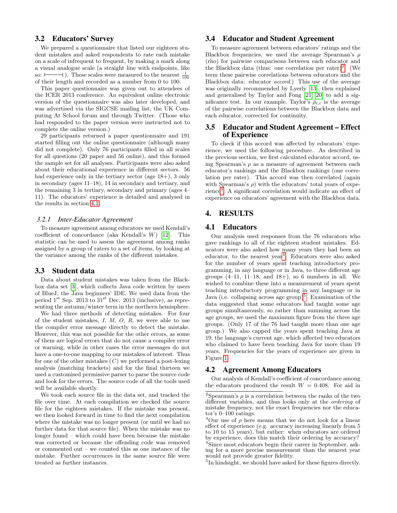#### 3.2 Educators' Survey

We prepared a questionnaire that listed our eighteen student mistakes and asked respondents to rate each mistake on a scale of infrequent to frequent, by making a mark along a visual analogue scale (a straight line with endpoints, like so:  $\longmapsto$ ). These scales were measured to the nearest  $\frac{1}{100}$ of their length and recorded as a number from 0 to 100.

This paper questionnaire was given out to attendees of the ICER 2013 conference. An equivalent online electronic version of the questionnaire was also later developed, and was advertised via the SIGCSE mailing list, the UK Computing At School forum and through Twitter. (Those who had responded to the paper version were instructed not to complete the online version.)

<span id="page-3-0"></span>29 participants returned a paper questionnaire and 191 started filling out the online questionnaire (although many did not complete). Only 76 participants filled in all scales for all questions (20 paper and 56 online), and this formed the sample set for all analyses. Participants were also asked about their educational experience in different sectors. 56 had experience only in the tertiary sector (age  $18+$ ), 3 only in secondary (ages 11–18), 14 in secondary and tertiary, and the remaining 3 in tertiary, secondary and primary (ages 4– 11). The educators' experience is detailed and analysed in the results in section [4.1.](#page-2-0)

#### *3.2.1 Inter-Educator Agreement*

To measure agreement among educators we used Kendall's coefficient of concordance (aka Kendall's W) [\[12\]](#page-7-16). This statistic can be used to assess the agreement among ranks assigned by a group of raters to a set of items, by looking at the variance among the ranks of the different mistakes.

#### 3.3 Student data

Data about student mistakes was taken from the Blackbox data set [\[3\]](#page-7-10), which collects Java code written by users of BlueJ, the Java beginners' IDE. We used data from the period  $1<sup>st</sup>$  Sep. 2013 to  $31<sup>st</sup>$  Dec. 2013 (inclusive), as representing the autumn/winter term in the northern hemisphere.

We had three methods of detecting mistakes. For four of the student mistakes, *I, M, O, R*, we were able to use the compiler error message directly to detect the mistake. However, this was not possible for the other errors, as some of them are logical errors that do not cause a compiler error or warning, while in other cases the error messages do not have a one-to-one mapping to our mistakes of interest. Thus for one of the other mistakes (*C*) we performed a post-lexing analysis (matching brackets) and for the final thirteen we used a customised permissive parser to parse the source code and look for the errors. The source code of all the tools used will be available shortly.

We took each source file in the data set, and tracked the file over time. At each compilation we checked the source file for the eighteen mistakes. If the mistake was present, we then looked forward in time to find the next compilation where the mistake was no longer present (or until we had no further data for that source file). When the mistake was no longer found – which could have been because the mistake was corrected or because the offending code was removed or commented out – we counted this as one instance of the mistake. Further occurrences in the same source file were treated as further instances.

#### 3.4 Educator and Student Agreement

To measure agreement between educators' ratings and the Blackbox frequencies, we used the average Spearman's  $\rho$ (rho) for pairwise comparisons between each educator and the Blackbox data (thus: one correlation per rater)<sup>[2](#page-2-1)</sup>. (We term these pairwise correlations between educators and the Blackbox data: educator *accord*.) This use of the average was originally recommended by Lyerly [\[13\]](#page-7-17), then explained and generalised by Taylor and Fong [\[21,](#page-7-18) [20\]](#page-7-19) to add a significance test. In our example, Taylor's  $\bar{\rho}_{t,c}$  is the average of the pairwise correlations between the Blackbox data and each educator, corrected for continuity.

#### 3.5 Educator and Student Agreement – Effect of Experience

<span id="page-3-1"></span>To check if this accord was affected by educators' experience, we used the following procedure. As described in the previous section, we first calculated educator accord, using Spearman's  $\rho$  as a measure of agreement between each educator's rankings and the Blackbox rankings (one correlation per rater). This accord was then correlated (again with Spearman's  $\rho$ ) with the educators' total years of expe-rience<sup>[3](#page-2-2)</sup>. A significant correlation would indicate an effect of experience on educators' agreement with the Blackbox data.

#### 4. RESULTS

#### 4.1 Educators

<span id="page-3-2"></span>Our analysis used responses from the 76 educators who gave rankings to all of the eighteen student mistakes. Educators were also asked how many years they had been an educator, to the nearest year<sup>[4](#page-2-3)</sup>. Educators were also asked for the number of years spent teaching introductory programming, in any language or in Java, to three different age groups  $(4-11, 11-18,$  and  $18+)$ , so 6 numbers in all. We wished to combine these into a measurement of years spent teaching introductory programming in any language or in Java (i.e. collapsing across age group)<sup>[5](#page-2-4)</sup>. Examination of the data suggested that some educators had taught some age groups simultaneously, so rather than summing across the age groups, we used the maximum figure from the three age groups. (Only 17 of the 76 had taught more than one age group.) We also capped the years spent teaching Java at 19, the language's current age, which affected two educators who claimed to have been teaching Java for more than 19 years. Frequencies for the years of experience are given in Figure [1.](#page-3-0)

#### 4.2 Agreement Among Educators

Our analysis of Kendall's coefficient of concordance among the educators produced the result  $W = 0.408$ . For aid in

<sup>&</sup>lt;sup>2</sup>Spearman's  $\rho$  is a correlation between the ranks of the two different variables, and thus looks only at the *ordering* of mistake frequency, not the exact frequencies nor the educator's 0–100 ratings.

<sup>&</sup>lt;sup>3</sup>Our use of  $\rho$  here means that we do not look for a linear effect of experience (e.g. accuracy increasing linearly from 5 to 10 to 15 years), but rather: when educators are ordered by experience, does this match their ordering by accuracy? <sup>4</sup>Since most educators begin their career in September, asking for a more precise measurement than the nearest year would not provide greater fidelity.

<sup>&</sup>lt;sup>5</sup>In hindsight, we should have asked for these figures directly.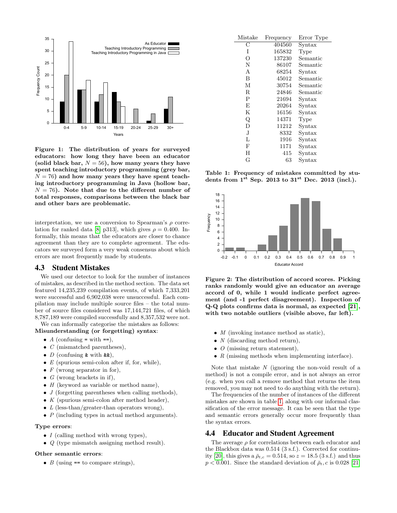

<span id="page-4-0"></span>Figure 1: The distribution of years for surveyed educators: how long they have been an educator (solid black bar,  $N = 56$ ), how many years they have spent teaching introductory programming (grey bar,  $N = 76$ ) and how many years they have spent teaching introductory programming in Java (hollow bar,  $N = 76$ ). Note that due to the different number of total responses, comparisons between the black bar and other bars are problematic.

interpretation, we use a conversion to Spearman's  $\rho$  corre-lation for ranked data [\[8,](#page-7-20) p313], which gives  $\rho = 0.400$ . Informally, this means that the educators are closer to chance agreement than they are to complete agreement. The educators we surveyed form a very weak consensus about which errors are most frequently made by students.

#### 4.3 Student Mistakes

We used our detector to look for the number of instances of mistakes, as described in the method section. The data set featured 14,235,239 compilation events, of which 7,333,201 were successful and 6,902,038 were unsuccessful. Each compilation may include multiple source files – the total number of source files considered was 17,144,721 files, of which 8,787,189 were compiled successfully and 8,357,532 were not.

We can informally categorise the mistakes as follows: Misunderstanding (or forgetting) syntax:

- $A$  (confusing = with ==),
- *C* (mismatched parentheses),
- *D* (confusing  $\&$  with  $\&\&$ ),
- *E* (spurious semi-colon after if, for, while),
- *F* (wrong separator in for),
- *G* (wrong brackets in if),
- *H* (keyword as variable or method name),
- *J* (forgetting parentheses when calling methods),
- *K* (spurious semi-colon after method header),
- *L* (less-than/greater-than operators wrong),
- *P* (including types in actual method arguments).

#### Type errors:

- *I* (calling method with wrong types),
- *Q* (type mismatch assigning method result).

#### Other semantic errors:

• *B* (using  $==$  to compare strings),

<span id="page-4-1"></span>

| Mistake | Frequency | Error Type      |
|---------|-----------|-----------------|
| С       | 404560    | Syntax          |
| I       | 165832    | Type            |
| O       | 137230    | Semantic        |
| N       | 86107     | Semantic        |
| A       | 68254     | $\text{Syntax}$ |
| B       | 45012     | Semantic        |
| М       | 30754     | Semantic        |
| R       | 24846     | Semantic        |
| Ρ       | 21694     | $\text{Syntax}$ |
| E       | 20264     | $\text{Syntax}$ |
| K       | 16156     | $\text{Syntax}$ |
| Q       | 14371     | Type            |
| D       | 11212     | Syntax          |
| J       | 8332      | $\text{Syntax}$ |
| L       | 1916      | $\text{Syntax}$ |
| F       | 1171      | $\text{Syntax}$ |
| H       | 415       | $\text{Syntax}$ |
| G       | 63        | $_{\rm Syntax}$ |

Table 1: Frequency of mistakes committed by students from  $1<sup>st</sup>$  Sep. 2013 to  $31<sup>st</sup>$  Dec. 2013 (incl.).



Figure 2: The distribution of accord scores. Picking ranks randomly would give an educator an average accord of 0, while 1 would indicate perfect agreement (and -1 perfect disagreement). Inspection of Q-Q plots confirms data is normal, as expected [\[21\]](#page-7-18), with two notable outliers (visible above, far left).

- *M* (invoking instance method as static),
- *N* (discarding method return),
- *O* (missing return statement),
- *R* (missing methods when implementing interface).

Note that mistake *N* (ignoring the non-void result of a method) is not a compile error, and is not always an error (e.g. when you call a remove method that returns the item removed, you may not need to do anything with the return).

The frequencies of the number of instances of the different mistakes are shown in table [1,](#page-3-1) along with our informal classification of the error message. It can be seen that the type and semantic errors generally occur more frequently than the syntax errors.

#### 4.4 Educator and Student Agreement

The average  $\rho$  for correlations between each educator and the Blackbox data was 0.514 (3 s.f.). Corrected for continu-ity [\[20\]](#page-7-19), this gives a  $\bar{\rho}_{t,c} = 0.514$ , so  $z = 18.5$  (3 s.f.) and thus  $p < 0.001$ . Since the standard deviation of  $\bar{\rho}_t$ , c is 0.028 [\[21\]](#page-7-18)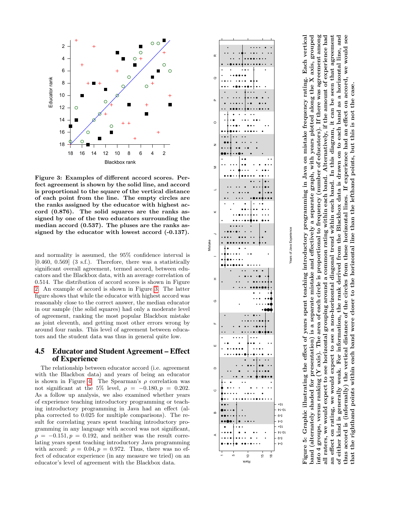

<span id="page-5-0"></span>Figure 3: Examples of different accord scores. Perfect agreement is shown by the solid line, and accord is proportional to the square of the vertical distance of each point from the line. The empty circles are the ranks assigned by the educator with highest accord (0.876). The solid squares are the ranks assigned by one of the two educators surrounding the median accord (0.537). The pluses are the ranks assigned by the educator with lowest accord (-0.137).

and normality is assumed, the 95% confidence interval is  $[0.460, 0.569]$  (3 s.f.). Therefore, there was a statistically significant overall agreement, termed accord, between educators and the Blackbox data, with an average correlation of 0.514. The distribution of accord scores is shown in Figure [2.](#page-3-2) An example of accord is shown in Figure [3.](#page-4-0) The latter figure shows that while the educator with highest accord was reasonably close to the correct answer, the median educator in our sample (the solid squares) had only a moderate level of agreement, ranking the most popular Blackbox mistake as joint eleventh, and getting most other errors wrong by around four ranks. This level of agreement between educators and the student data was thus in general quite low.

#### 4.5 Educator and Student Agreement – Effect of Experience

The relationship between educator accord (i.e. agreement with the Blackbox data) and years of being an educator is shown in Figure [4.](#page-5-0) The Spearman's  $\rho$  correlation was not significant at the 5% level,  $\rho = -0.180, p = 0.202$ . As a follow up analysis, we also examined whether years of experience teaching introductory programming or teaching introductory programming in Java had an effect (alpha corrected to 0.025 for multiple comparisons). The result for correlating years spent teaching introductory programming in any language with accord was not significant,  $\rho = -0.151, p = 0.192$ , and neither was the result correlating years spent teaching introductory Java programming with accord:  $\rho = 0.04, p = 0.972$ . Thus, there was no effect of educator experience (in any measure we tried) on an educator's level of agreement with the Blackbox data.



Figure 5: Graphic illustrating the effect of years spent teaching introductory programming in Java on mistake frequency rating. Each vertical band (alternately shaded for presentation) is a separate mistake and effectively a separate graph, with years plotted along the  $X$  axis, grouped band (alternately shaded for presentation) is a separate mistake and effectively a separate graph, with years plotted along the X axis, grouped into 4 groups, versus ranking (Y axis). The area of each circle is proportional to frequency (number of educators). If there was agreement among into 4 groups, versus ranking (Y axis). The area of each circle is proportional to frequency (number of educators). If there was agreement among a common rating within each band. Alternatively, if the amount of experience had all raters, we would expect to see horizontal grouping around a common rating within each band. Alternatively, if the amount of experience had an effect on rating, we would expect to see a non-horizontal diagonal trend within each band. In this diagram, it can be seen that agreement kind is generally weak. For information, the rank derived from the Blackbox data is drawn on to each band as a horizontal line, and of either kind is generally weak. For information, the rank derived from the Blackbox data is drawn on to each band as a horizontal line, and thus accord is (informally) the vertical distance of the circles from these horizontal lines. If experience had an effect on accord, we would see Figure 5: Graphic illustrating the effect of years spent teaching introductory programming in Java on mistake frequency rating. Each vertical an effect on rating, we would expect to see a non-horizontal diagonal trend within each band. In this diagram, it can be seen that agreement on accord, we would see that the righthand points within each band were closer to the horizontal line than the lefthand points, but this is not the case. that the righthand points within each band were closer to the horizontal line than the lefthand points, but this is not the case.thus accord is (informally) the vertical distance of the circles from these horizontal lines. If experience had an effect grouping around all raters, we would expect to see horizontal of either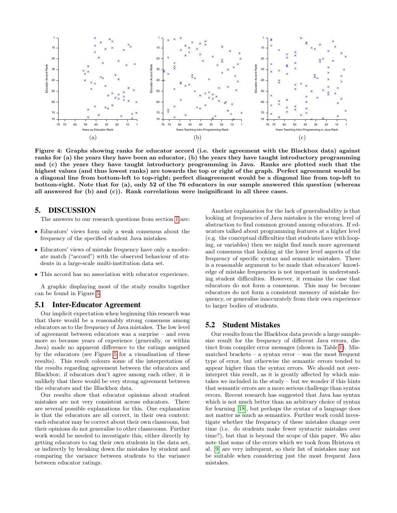

Figure 4: Graphs showing ranks for educator accord (i.e. their agreement with the Blackbox data) against ranks for (a) the years they have been an educator, (b) the years they have taught introductory programming and (c) the years they have taught introductory programming in Java. Ranks are plotted such that the highest values (and thus lowest ranks) are towards the top or right of the graph. Perfect agreement would be a diagonal line from bottom-left to top-right; perfect disagreement would be a diagonal line from top-left to bottom-right. Note that for (a), only 52 of the 76 educators in our sample answered this question (whereas all answered for (b) and (c)). Rank correlations were insignificant in all three cases.

#### 5. DISCUSSION

The answers to our research questions from section [1](#page-0-0) are:

- Educators' views form only a weak consensus about the frequency of the specified student Java mistakes.
- Educators' views of mistake frequency have only a moderate match ("accord") with the observed behaviour of students in a large-scale multi-institution data set.
- This accord has no association with educator experience.

A graphic displaying most of the study results together can be found in Figure [5.](#page-4-1)

#### 5.1 Inter-Educator Agreement

Our implicit expectation when beginning this research was that there would be a reasonably strong consensus among educators as to the frequency of Java mistakes. The low level of agreement between educators was a surprise – and even more so because years of experience (generally, or within Java) made no apparent difference to the ratings assigned by the educators (see Figure [5](#page-4-1) for a visualisation of these results). This result colours some of the interpretation of the results regarding agreement between the educators and Blackbox: if educators don't agree among each other, it is unlikely that there would be very strong agreement between the educators and the Blackbox data.

<span id="page-6-0"></span>Our results show that educator opinions about student mistakes are not very consistent across educators. There are several possible explanations for this. One explanation is that the educators are all correct, in their own context: each educator may be correct about their own classroom, but their opinions do not generalise to other classrooms. Further work would be needed to investigate this, either directly by getting educators to tag their own students in the data set, or indirectly by breaking down the mistakes by student and comparing the variance between students to the variance between educator ratings.

Another explanation for the lack of generalisability is that looking at frequencies of Java mistakes is the wrong level of abstraction to find common ground among educators. If educators talked about programming features at a higher level (e.g. the conceptual difficulties that students have with looping, or variables) then we might find much more agreement and consensus that looking at the lower level aspects of the frequency of specific syntax and semantic mistakes. There is a reasonable argument to be made that educators' knowledge of mistake frequencies is not important in understanding student difficulties. However, it remains the case that educators do not form a consensus. This may be because educators do not form a consistent memory of mistake frequency, or generalise inaccurately from their own experience to larger bodies of students.

#### 5.2 Student Mistakes

Our results from the Blackbox data provide a large samplesize result for the frequency of different Java errors, distinct from compiler error messages (shown in Table [1\)](#page-3-1). Mismatched brackets – a syntax error – was the most frequent type of error, but otherwise the semantic errors tended to appear higher than the syntax errors. We should not overinterpret this result, as it is greatly affected by which mistakes we included in the study – but we wonder if this hints that semantic errors are a more serious challenge than syntax errors. Recent research has suggested that Java has syntax which is not much better than an arbitrary choice of syntax for learning [\[18\]](#page-7-21), but perhaps the syntax of a language does not matter as much as semantics. Further work could investigate whether the frequency of these mistakes change over time (i.e. do students make fewer syntactic mistakes over time?), but that is beyond the scope of this paper. We also note that some of the errors which we took from Hristova et al. [\[9\]](#page-7-13) are very infrequent, so their list of mistakes may not be suitable when considering just the most frequent Java mistakes.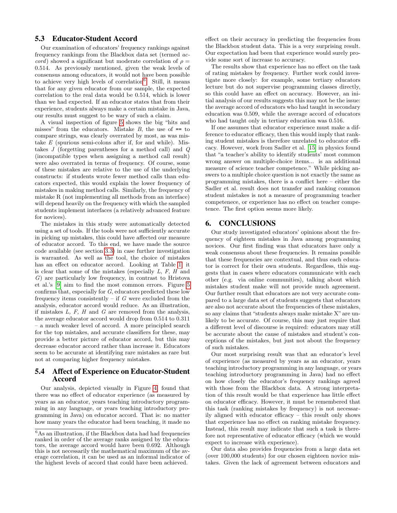#### 5.3 Educator-Student Accord

Our examination of educators' frequency rankings against frequency rankings from the Blackbox data set (termed *accord*) showed a significant but moderate correlation of  $\rho =$ 0.514. As previously mentioned, given the weak levels of consensus among educators, it would not have been possible to achieve very high levels of correlation<sup>[6](#page-6-0)</sup>. Still, it means that for any given educator from our sample, the expected correlation to the real data would be 0.514, which is lower than we had expected. If an educator states that from their experience, students always make a certain mistake in Java, our results must suggest to be wary of such a claim.

A visual inspection of figure [5](#page-4-1) shows the big "hits and misses" from the educators. Mistake *B*, the use of == to compare strings, was clearly overrated by most, as was mistake *E* (spurious semi-colons after if, for and while). Mistakes *J* (forgetting parentheses for a method call) and *Q* (incompatible types when assigning a method call result) were also overrated in terms of frequency. Of course, some of these mistakes are relative to the use of the underlying constructs: if students wrote fewer method calls than educators expected, this would explain the lower frequency of mistakes in making method calls. Similarly, the frequency of mistake R (not implementing all methods from an interface) will depend heavily on the frequency with which the sampled students implement interfaces (a relatively advanced feature for novices).

<span id="page-7-15"></span><span id="page-7-4"></span>The mistakes in this study were automatically detected using a set of tools. If the tools were not sufficiently accurate in picking up mistakes, this could have affected our measure of educator accord. To this end, we have made the source code available (see section [3.3\)](#page-2-5) in case further investigation is warranted. As well as the tool, the choice of mistakes has an effect on educator accord. Looking at Table [1,](#page-3-1) it is clear that some of the mistakes (especially *L*, *F*, *H* and *G*) are particularly low frequency, in contrast to Hristova et al.'s [\[9\]](#page-7-13) aim to find the most common errors. Figure [5](#page-4-1) confirms that, especially for *G*, educators predicted these low frequency items consistently – if *G* were excluded from the analysis, educator accord would reduce. As an illustration, if mistakes *L, F, H* and *G* are removed from the analysis, the average educator accord would drop from 0.514 to 0.311 – a much weaker level of accord. A more principled search for the top mistakes, and accurate classifiers for these, may provide a better picture of educator accord, but this may decrease educator accord rather than increase it. Educators seem to be accurate at identifying rare mistakes as rare but not at comparing higher frequency mistakes.

#### <span id="page-7-10"></span><span id="page-7-5"></span><span id="page-7-2"></span>5.4 Affect of Experience on Educator-Student Accord

<span id="page-7-6"></span>Our analysis, depicted visually in Figure [4,](#page-5-0) found that there was no effect of educator experience (as measured by years as an educator, years teaching introductory programming in any language, or years teaching introductory programming in Java) on educator accord. That is: no matter how many years the educator had been teaching, it made no effect on their accuracy in predicting the frequencies from the Blackbox student data. This is a very surprising result. Our expectation had been that experience would surely provide some sort of increase to accuracy.

<span id="page-7-8"></span><span id="page-7-7"></span>The results show that experience has no effect on the task of rating mistakes by frequency. Further work could investigate more closely: for example, some tertiary educators lecture but do not supervise programming classes directly, so this could have an effect on accuracy. However, an initial analysis of our results suggests this may not be the issue: the average accord of educators who had taught in secondary education was 0.509, while the average accord of educators who had taught only in tertiary education was 0.516.

<span id="page-7-17"></span><span id="page-7-16"></span><span id="page-7-12"></span>If one assumes that educator experience must make a difference to educator efficacy, then this would imply that ranking student mistakes is therefore unrelated to educator efficacy. However, work from Sadler et al. [\[15\]](#page-7-3) in physics found that "a teacher's ability to identify students' most common wrong answer on multiple-choice items... is an additional measure of science teacher competence." While picking answers to a multiple choice question is not exactly the same as programming mistakes, there is a conflict here – either the Sadler et al. result does not transfer and ranking common student mistakes is not a measure of programming teacher competenece, or experience has no effect on teacher competence. The first option seems more likely.

#### <span id="page-7-11"></span><span id="page-7-3"></span>6. CONCLUSIONS

<span id="page-7-21"></span><span id="page-7-14"></span><span id="page-7-9"></span>Our study investigated educators' opinions about the frequency of eighteen mistakes in Java among programming novices. Our first finding was that educators have only a weak consensus about these frequencies. It remains possible that these frequencies are contextual, and thus each educator is correct for their own students. Regardless, this suggests that in cases where educators communicate with each other (e.g. via online communities), talking about which mistakes student make will not provide much agreement. Our further result that educators are not very accurate compared to a large data set of students suggests that educators are also not accurate about the frequencies of these mistakes, so any claims that "students always make mistake X" are unlikely to be accurate. Of course, this may just require that a different level of discourse is required: educators may still be accurate about the cause of mistakes and student's conceptions of the mistakes, but just not about the frequency of such mistakes.

<span id="page-7-19"></span><span id="page-7-18"></span><span id="page-7-0"></span>Our most surprising result was that an educator's level of experience (as measured by years as an educator, years teaching introductory programming in any language, or years teaching introductory programming in Java) had no effect on how closely the educator's frequency rankings agreed with those from the Blackbox data. A strong interpretation of this result would be that experience has little effect on educator efficacy. However, it must be remembered that this task (ranking mistakes by frequency) is not necessarily aligned with educator efficacy – this result only shows that experience has no effect on ranking mistake frequency. Instead, this result may indicate that such a task is therefore not representative of educator efficacy (which we would expect to increase with experience).

Our data also provides frequencies from a large data set (over 100,000 students) for our chosen eighteen novice mistakes. Given the lack of agreement between educators and

<span id="page-7-20"></span><span id="page-7-13"></span><span id="page-7-1"></span> $^6\mathrm{As}$  an illustration, if the Blackbox data had had frequencies ranked in order of the average ranks assigned by the educators, the average accord would have been 0.692. Although this is not necessarily the mathematical maximum of the average correlation, it can be used as an informal indicator of the highest levels of accord that could have been achieved.